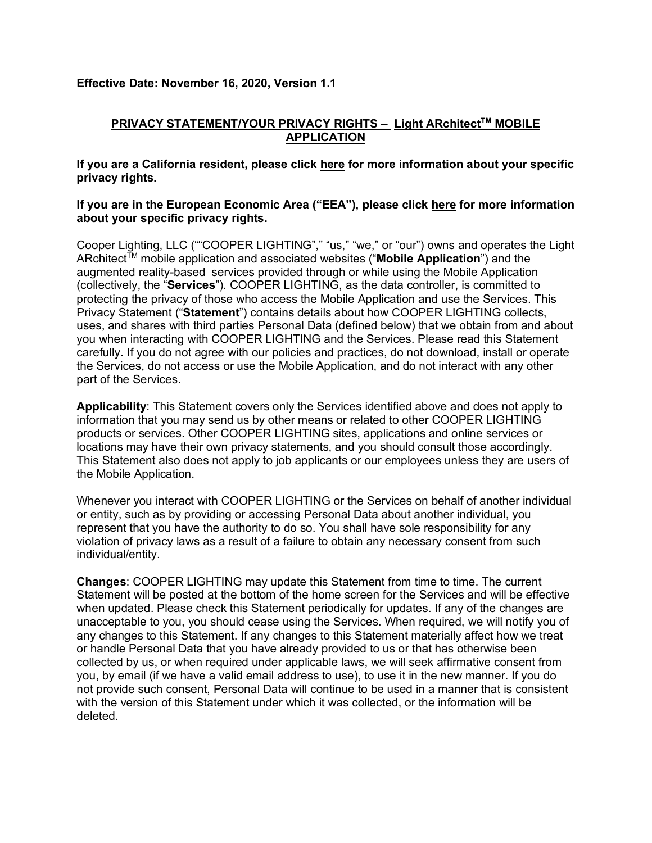## **Effective Date: November 16, 2020, Version 1.1**

# **PRIVACY STATEMENT/YOUR PRIVACY RIGHTS − Light ARchitect™ MOBILE APPLICATION**

**If you are a California resident, please click [here](#page-5-0) for more information about your specific privacy rights.**

## **If you are in the European Economic Area ("EEA"), please click [here](#page-9-0) for more information about your specific privacy rights.**

Cooper Lighting, LLC (""COOPER LIGHTING"," "us," "we," or "our") owns and operates the Light ARchitect<sup>TM</sup> mobile application and associated websites ("**Mobile Application**") and the augmented reality-based services provided through or while using the Mobile Application (collectively, the "**Services**"). COOPER LIGHTING, as the data controller, is committed to protecting the privacy of those who access the Mobile Application and use the Services. This Privacy Statement ("**Statement**") contains details about how COOPER LIGHTING collects, uses, and shares with third parties Personal Data (defined below) that we obtain from and about you when interacting with COOPER LIGHTING and the Services. Please read this Statement carefully. If you do not agree with our policies and practices, do not download, install or operate the Services, do not access or use the Mobile Application, and do not interact with any other part of the Services.

**Applicability**: This Statement covers only the Services identified above and does not apply to information that you may send us by other means or related to other COOPER LIGHTING products or services. Other COOPER LIGHTING sites, applications and online services or locations may have their own privacy statements, and you should consult those accordingly. This Statement also does not apply to job applicants or our employees unless they are users of the Mobile Application.

Whenever you interact with COOPER LIGHTING or the Services on behalf of another individual or entity, such as by providing or accessing Personal Data about another individual, you represent that you have the authority to do so. You shall have sole responsibility for any violation of privacy laws as a result of a failure to obtain any necessary consent from such individual/entity.

**Changes**: COOPER LIGHTING may update this Statement from time to time. The current Statement will be posted at the bottom of the home screen for the Services and will be effective when updated. Please check this Statement periodically for updates. If any of the changes are unacceptable to you, you should cease using the Services. When required, we will notify you of any changes to this Statement. If any changes to this Statement materially affect how we treat or handle Personal Data that you have already provided to us or that has otherwise been collected by us, or when required under applicable laws, we will seek affirmative consent from you, by email (if we have a valid email address to use), to use it in the new manner. If you do not provide such consent, Personal Data will continue to be used in a manner that is consistent with the version of this Statement under which it was collected, or the information will be deleted.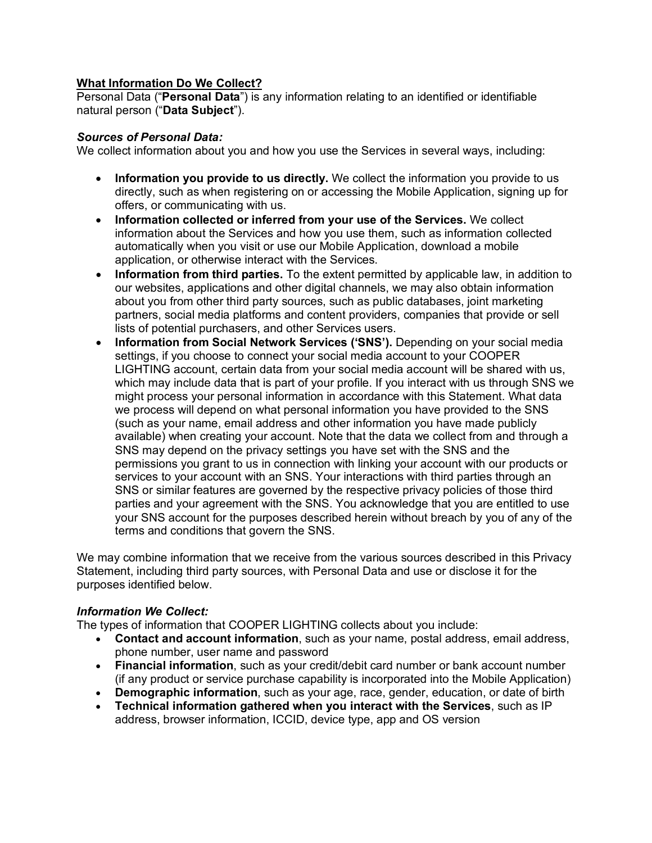## **What Information Do We Collect?**

Personal Data ("**Personal Data**") is any information relating to an identified or identifiable natural person ("**Data Subject**").

## *Sources of Personal Data:*

We collect information about you and how you use the Services in several ways, including:

- **Information you provide to us directly.** We collect the information you provide to us directly, such as when registering on or accessing the Mobile Application, signing up for offers, or communicating with us.
- **Information collected or inferred from your use of the Services.** We collect information about the Services and how you use them, such as information collected automatically when you visit or use our Mobile Application, download a mobile application, or otherwise interact with the Services.
- **Information from third parties.** To the extent permitted by applicable law, in addition to our websites, applications and other digital channels, we may also obtain information about you from other third party sources, such as public databases, joint marketing partners, social media platforms and content providers, companies that provide or sell lists of potential purchasers, and other Services users.
- **Information from Social Network Services ('SNS').** Depending on your social media settings, if you choose to connect your social media account to your COOPER LIGHTING account, certain data from your social media account will be shared with us, which may include data that is part of your profile. If you interact with us through SNS we might process your personal information in accordance with this Statement. What data we process will depend on what personal information you have provided to the SNS (such as your name, email address and other information you have made publicly available) when creating your account. Note that the data we collect from and through a SNS may depend on the privacy settings you have set with the SNS and the permissions you grant to us in connection with linking your account with our products or services to your account with an SNS. Your interactions with third parties through an SNS or similar features are governed by the respective privacy policies of those third parties and your agreement with the SNS. You acknowledge that you are entitled to use your SNS account for the purposes described herein without breach by you of any of the terms and conditions that govern the SNS.

We may combine information that we receive from the various sources described in this Privacy Statement, including third party sources, with Personal Data and use or disclose it for the purposes identified below.

## *Information We Collect:*

The types of information that COOPER LIGHTING collects about you include:

- **Contact and account information**, such as your name, postal address, email address, phone number, user name and password
- **Financial information**, such as your credit/debit card number or bank account number (if any product or service purchase capability is incorporated into the Mobile Application)
- **Demographic information**, such as your age, race, gender, education, or date of birth
- **Technical information gathered when you interact with the Services**, such as IP address, browser information, ICCID, device type, app and OS version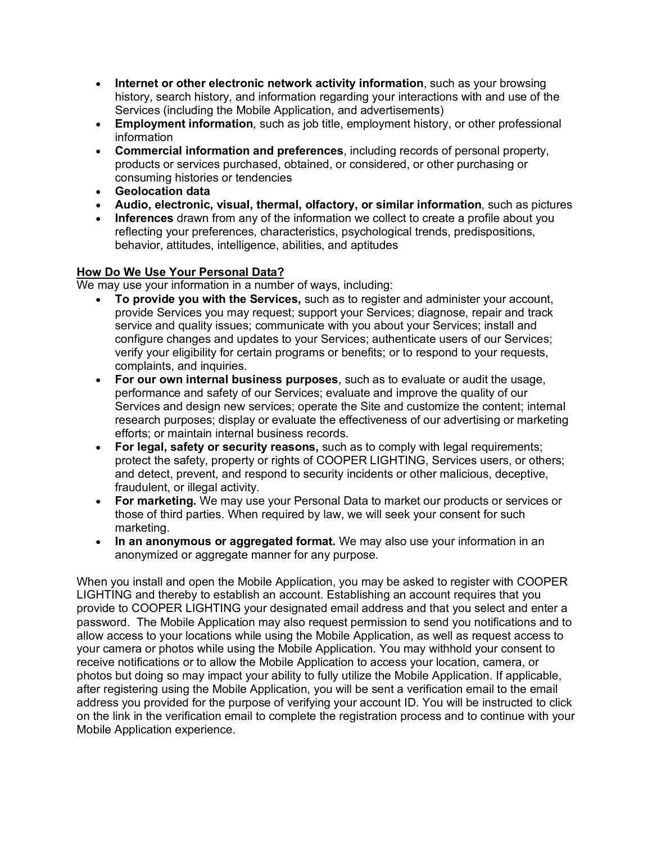- **Internet or other electronic network activity information**, such as your browsing history, search history, and information regarding your interactions with and use of the Services (including the Mobile Application, and advertisements)
- **Employment information**, such as job title, employment history, or other professional information
- **Commercial information and preferences**, including records of personal property, products or services purchased, obtained, or considered, or other purchasing or consuming histories or tendencies
- **Geolocation data**
- **Audio, electronic, visual, thermal, olfactory, or similar information**, such as pictures
- **Inferences** drawn from any of the information we collect to create a profile about you reflecting your preferences, characteristics, psychological trends, predispositions, behavior, attitudes, intelligence, abilities, and aptitudes

# **How Do We Use Your Personal Data?**

We may use your information in a number of ways, including:

- **To provide you with the Services,** such as to register and administer your account, provide Services you may request; support your Services; diagnose, repair and track service and quality issues; communicate with you about your Services; install and configure changes and updates to your Services; authenticate users of our Services; verify your eligibility for certain programs or benefits; or to respond to your requests, complaints, and inquiries.
- **For our own internal business purposes**, such as to evaluate or audit the usage, performance and safety of our Services; evaluate and improve the quality of our Services and design new services; operate the Site and customize the content; internal research purposes; display or evaluate the effectiveness of our advertising or marketing efforts; or maintain internal business records.
- **For legal, safety or security reasons,** such as to comply with legal requirements; protect the safety, property or rights of COOPER LIGHTING, Services users, or others; and detect, prevent, and respond to security incidents or other malicious, deceptive, fraudulent, or illegal activity.
- **For marketing.** We may use your Personal Data to market our products or services or those of third parties. When required by law, we will seek your consent for such marketing.
- **In an anonymous or aggregated format.** We may also use your information in an anonymized or aggregate manner for any purpose.

When you install and open the Mobile Application, you may be asked to register with COOPER LIGHTING and thereby to establish an account. Establishing an account requires that you provide to COOPER LIGHTING your designated email address and that you select and enter a password. The Mobile Application may also request permission to send you notifications and to allow access to your locations while using the Mobile Application, as well as request access to your camera or photos while using the Mobile Application. You may withhold your consent to receive notifications or to allow the Mobile Application to access your location, camera, or photos but doing so may impact your ability to fully utilize the Mobile Application. If applicable, after registering using the Mobile Application, you will be sent a verification email to the email address you provided for the purpose of verifying your account ID. You will be instructed to click on the link in the verification email to complete the registration process and to continue with your Mobile Application experience.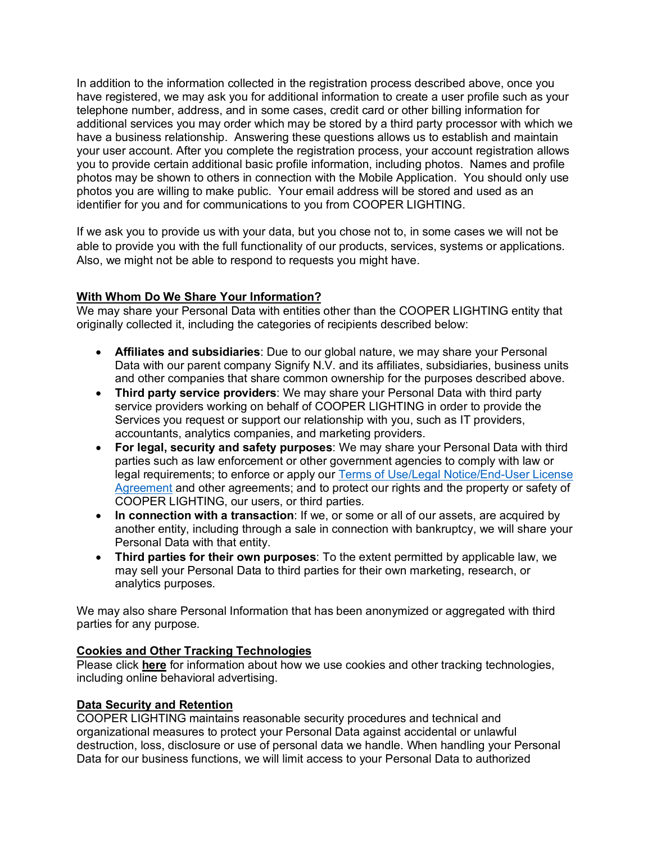In addition to the information collected in the registration process described above, once you have registered, we may ask you for additional information to create a user profile such as your telephone number, address, and in some cases, credit card or other billing information for additional services you may order which may be stored by a third party processor with which we have a business relationship. Answering these questions allows us to establish and maintain your user account. After you complete the registration process, your account registration allows you to provide certain additional basic profile information, including photos. Names and profile photos may be shown to others in connection with the Mobile Application. You should only use photos you are willing to make public. Your email address will be stored and used as an identifier for you and for communications to you from COOPER LIGHTING.

If we ask you to provide us with your data, but you chose not to, in some cases we will not be able to provide you with the full functionality of our products, services, systems or applications. Also, we might not be able to respond to requests you might have.

# **With Whom Do We Share Your Information?**

We may share your Personal Data with entities other than the COOPER LIGHTING entity that originally collected it, including the categories of recipients described below:

- **Affiliates and subsidiaries**: Due to our global nature, we may share your Personal Data with our parent company Signify N.V. and its affiliates, subsidiaries, business units and other companies that share common ownership for the purposes described above.
- **Third party service providers**: We may share your Personal Data with third party service providers working on behalf of COOPER LIGHTING in order to provide the Services you request or support our relationship with you, such as IT providers, accountants, analytics companies, and marketing providers.
- **For legal, security and safety purposes**: We may share your Personal Data with third parties such as law enforcement or other government agencies to comply with law or legal requirements; to enforce or apply our [Terms of Use/Legal Notice/End-User License](https://www.cooperlighting.com/content/dam/cooper-lighting/resources/legal-page-assets/legal-docs/light-architect-mobileapp-eula.pdf)  [Agreement](https://www.cooperlighting.com/content/dam/cooper-lighting/resources/legal-page-assets/legal-docs/light-architect-mobileapp-eula.pdf) and other agreements; and to protect our rights and the property or safety of COOPER LIGHTING, our users, or third parties.
- **In connection with a transaction**: If we, or some or all of our assets, are acquired by another entity, including through a sale in connection with bankruptcy, we will share your Personal Data with that entity.
- **Third parties for their own purposes**: To the extent permitted by applicable law, we may sell your Personal Data to third parties for their own marketing, research, or analytics purposes.

We may also share Personal Information that has been anonymized or aggregated with third parties for any purpose.

## **[Cookies and Other Tracking Technologies](https://www.audiusa.com/privacy#content_accordion_1822915059_2863226031-0)**

Please click **[here](#page-10-0)** for information about how we use cookies and other tracking technologies, including online behavioral advertising.

## **Data Security and Retention**

COOPER LIGHTING maintains reasonable security procedures and technical and organizational measures to protect your Personal Data against accidental or unlawful destruction, loss, disclosure or use of personal data we handle. When handling your Personal Data for our business functions, we will limit access to your Personal Data to authorized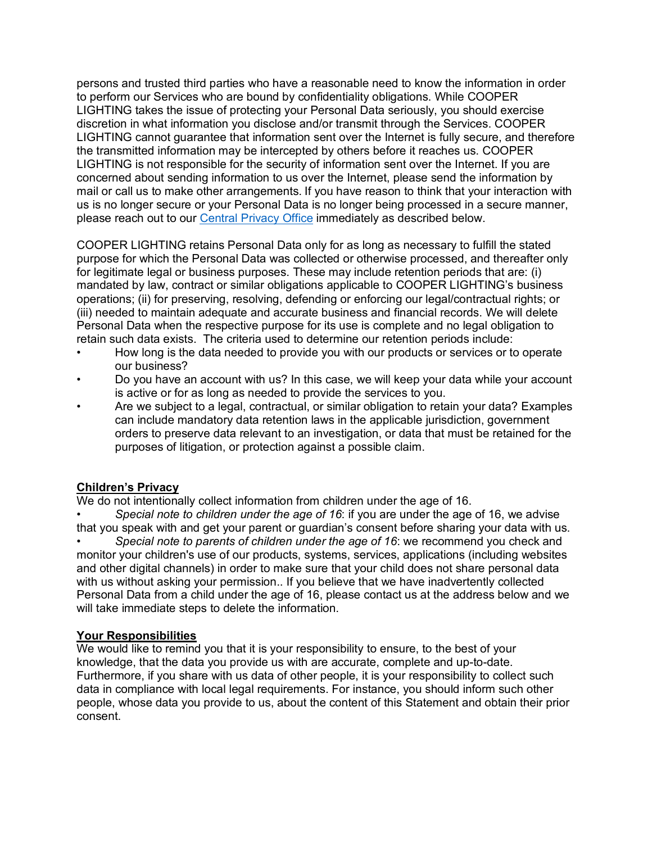persons and trusted third parties who have a reasonable need to know the information in order to perform our Services who are bound by confidentiality obligations. While COOPER LIGHTING takes the issue of protecting your Personal Data seriously, you should exercise discretion in what information you disclose and/or transmit through the Services. COOPER LIGHTING cannot guarantee that information sent over the Internet is fully secure, and therefore the transmitted information may be intercepted by others before it reaches us. COOPER LIGHTING is not responsible for the security of information sent over the Internet. If you are concerned about sending information to us over the Internet, please send the information by mail or call us to make other arrangements. If you have reason to think that your interaction with us is no longer secure or your Personal Data is no longer being processed in a secure manner, please reach out to our Central [Privacy Office](#page-5-1) immediately as described below.

COOPER LIGHTING retains Personal Data only for as long as necessary to fulfill the stated purpose for which the Personal Data was collected or otherwise processed, and thereafter only for legitimate legal or business purposes. These may include retention periods that are: (i) mandated by law, contract or similar obligations applicable to COOPER LIGHTING's business operations; (ii) for preserving, resolving, defending or enforcing our legal/contractual rights; or (iii) needed to maintain adequate and accurate business and financial records. We will delete Personal Data when the respective purpose for its use is complete and no legal obligation to retain such data exists. The criteria used to determine our retention periods include:

- How long is the data needed to provide you with our products or services or to operate our business?
- Do you have an account with us? In this case, we will keep your data while your account is active or for as long as needed to provide the services to you.
- Are we subject to a legal, contractual, or similar obligation to retain your data? Examples can include mandatory data retention laws in the applicable jurisdiction, government orders to preserve data relevant to an investigation, or data that must be retained for the purposes of litigation, or protection against a possible claim.

## **Children's Privacy**

We do not intentionally collect information from children under the age of 16.

• *Special note to children under the age of 16*: if you are under the age of 16, we advise that you speak with and get your parent or guardian's consent before sharing your data with us.

• *Special note to parents of children under the age of 16*: we recommend you check and monitor your children's use of our products, systems, services, applications (including websites and other digital channels) in order to make sure that your child does not share personal data with us without asking your permission.. If you believe that we have inadvertently collected Personal Data from a child under the age of 16, please contact us at the address below and we will take immediate steps to delete the information.

## **Your Responsibilities**

We would like to remind you that it is your responsibility to ensure, to the best of your knowledge, that the data you provide us with are accurate, complete and up-to-date. Furthermore, if you share with us data of other people, it is your responsibility to collect such data in compliance with local legal requirements. For instance, you should inform such other people, whose data you provide to us, about the content of this Statement and obtain their prior consent.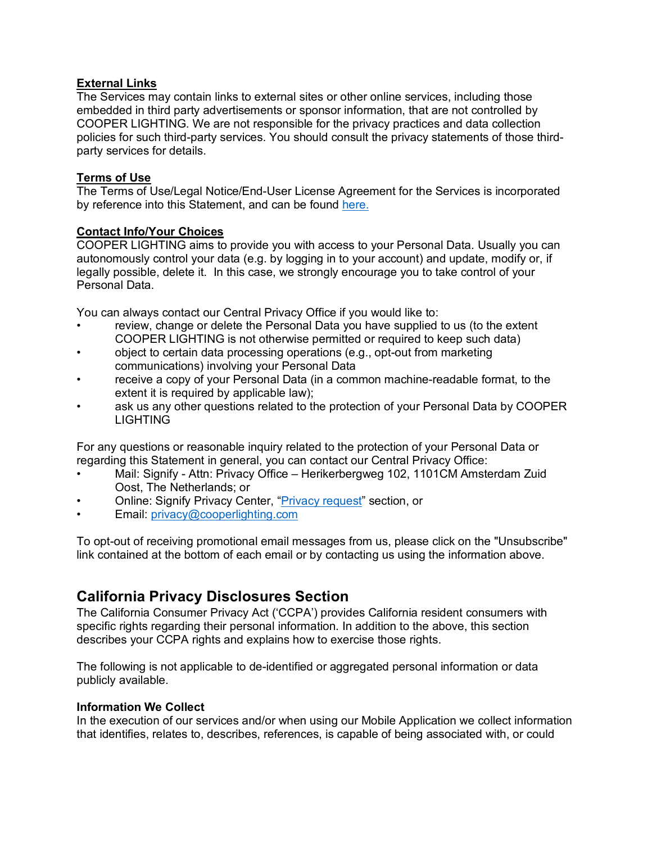## **External Links**

The Services may contain links to external sites or other online services, including those embedded in third party advertisements or sponsor information, that are not controlled by COOPER LIGHTING. We are not responsible for the privacy practices and data collection policies for such third-party services. You should consult the privacy statements of those thirdparty services for details.

## **Terms of Use**

The Terms of Use/Legal Notice/End-User License Agreement for the Services is incorporated by reference into this Statement, and can be found [here.](https://www.cooperlighting.com/content/dam/cooper-lighting/resources/legal-page-assets/legal-docs/light-architect-mobileapp-eula.pdf)

## <span id="page-5-1"></span>**Contact Info/Your Choices**

COOPER LIGHTING aims to provide you with access to your Personal Data. Usually you can autonomously control your data (e.g. by logging in to your account) and update, modify or, if legally possible, delete it. In this case, we strongly encourage you to take control of your Personal Data.

You can always contact our Central Privacy Office if you would like to:

- review, change or delete the Personal Data you have supplied to us (to the extent COOPER LIGHTING is not otherwise permitted or required to keep such data)
- object to certain data processing operations (e.g., opt-out from marketing communications) involving your Personal Data
- receive a copy of your Personal Data (in a common machine-readable format, to the extent it is required by applicable law);
- ask us any other questions related to the protection of your Personal Data by COOPER LIGHTING

For any questions or reasonable inquiry related to the protection of your Personal Data or regarding this Statement in general, you can contact our Central Privacy Office:

- Mail: Signify Attn: Privacy Office Herikerbergweg 102, 1101CM Amsterdam Zuid Oost, The Netherlands; or
- Online: Signify Privacy Center, ["Privacy request"](https://www.signify.com/global/privacy/privacy-request) section, or
- Email: [privacy@cooperlighting.com](mailto:privacy@cooperlighting.com)

To opt-out of receiving promotional email messages from us, please click on the "Unsubscribe" link contained at the bottom of each email or by contacting us using the information above.

# <span id="page-5-0"></span>**California Privacy Disclosures Section**

The California Consumer Privacy Act ('CCPA') provides California resident consumers with specific rights regarding their personal information. In addition to the above, this section describes your CCPA rights and explains how to exercise those rights.

The following is not applicable to de-identified or aggregated personal information or data publicly available.

#### **Information We Collect**

In the execution of our services and/or when using our Mobile Application we collect information that identifies, relates to, describes, references, is capable of being associated with, or could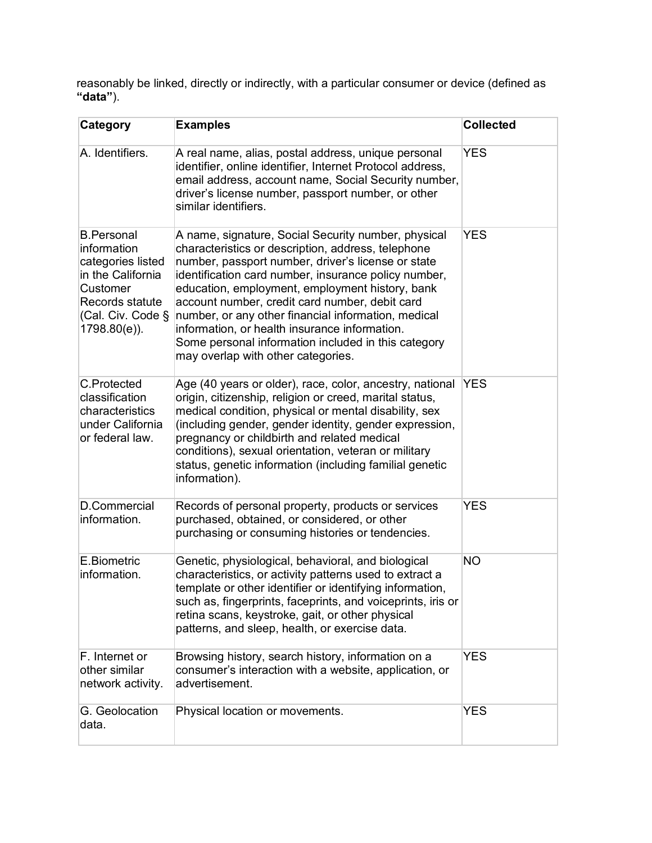reasonably be linked, directly or indirectly, with a particular consumer or device (defined as **"data"**).

| <b>Category</b>                                                                                                                                | <b>Examples</b>                                                                                                                                                                                                                                                                                                                                                                                                                                                                                                                   | <b>Collected</b> |
|------------------------------------------------------------------------------------------------------------------------------------------------|-----------------------------------------------------------------------------------------------------------------------------------------------------------------------------------------------------------------------------------------------------------------------------------------------------------------------------------------------------------------------------------------------------------------------------------------------------------------------------------------------------------------------------------|------------------|
| A. Identifiers.                                                                                                                                | A real name, alias, postal address, unique personal<br>identifier, online identifier, Internet Protocol address,<br>email address, account name, Social Security number,<br>driver's license number, passport number, or other<br>similar identifiers.                                                                                                                                                                                                                                                                            | <b>YES</b>       |
| <b>B.Personal</b><br>information<br>categories listed<br>in the California<br>Customer<br>Records statute<br>(Cal. Civ. Code §<br>1798.80(e)). | A name, signature, Social Security number, physical<br>characteristics or description, address, telephone<br>number, passport number, driver's license or state<br>identification card number, insurance policy number,<br>education, employment, employment history, bank<br>account number, credit card number, debit card<br>number, or any other financial information, medical<br>information, or health insurance information.<br>Some personal information included in this category<br>may overlap with other categories. | <b>YES</b>       |
| C.Protected<br>classification<br>characteristics<br>under California<br>or federal law.                                                        | Age (40 years or older), race, color, ancestry, national<br>origin, citizenship, religion or creed, marital status,<br>medical condition, physical or mental disability, sex<br>(including gender, gender identity, gender expression,<br>pregnancy or childbirth and related medical<br>conditions), sexual orientation, veteran or military<br>status, genetic information (including familial genetic<br>information).                                                                                                         | <b>YES</b>       |
| D.Commercial<br>information.                                                                                                                   | Records of personal property, products or services<br>purchased, obtained, or considered, or other<br>purchasing or consuming histories or tendencies.                                                                                                                                                                                                                                                                                                                                                                            | <b>YES</b>       |
| E.Biometric<br>information.                                                                                                                    | Genetic, physiological, behavioral, and biological<br>characteristics, or activity patterns used to extract a<br>template or other identifier or identifying information,<br>such as, fingerprints, faceprints, and voiceprints, iris or<br>retina scans, keystroke, gait, or other physical<br>patterns, and sleep, health, or exercise data.                                                                                                                                                                                    | <b>NO</b>        |
| F. Internet or<br>other similar<br>network activity.                                                                                           | Browsing history, search history, information on a<br>consumer's interaction with a website, application, or<br>advertisement.                                                                                                                                                                                                                                                                                                                                                                                                    | <b>YES</b>       |
| G. Geolocation<br>data.                                                                                                                        | Physical location or movements.                                                                                                                                                                                                                                                                                                                                                                                                                                                                                                   | <b>YES</b>       |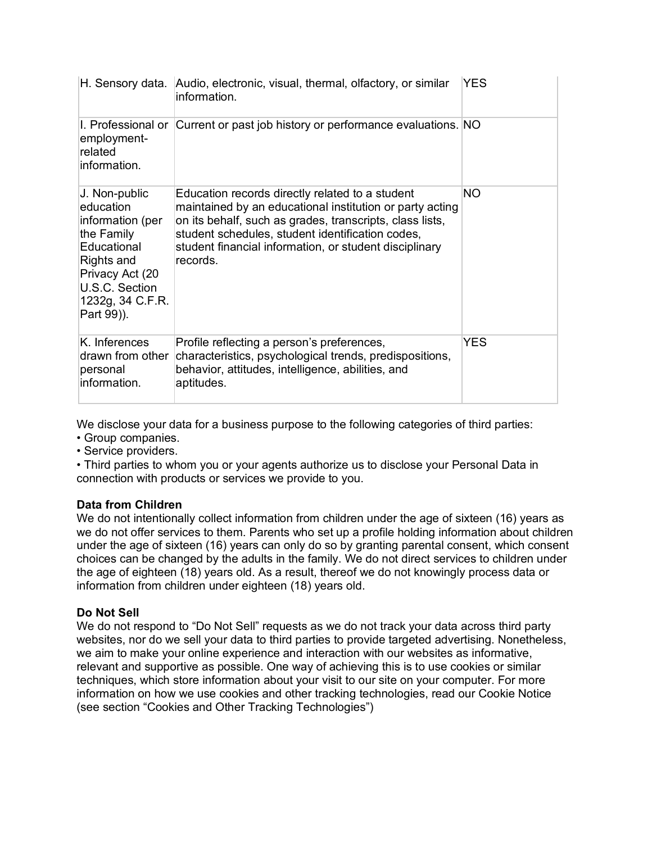|                                                                                                                                                                  | H. Sensory data. Audio, electronic, visual, thermal, olfactory, or similar<br>information.                                                                                                                                                                                                        | <b>YES</b> |
|------------------------------------------------------------------------------------------------------------------------------------------------------------------|---------------------------------------------------------------------------------------------------------------------------------------------------------------------------------------------------------------------------------------------------------------------------------------------------|------------|
| employment-<br>related<br>information.                                                                                                                           | I. Professional or Current or past job history or performance evaluations. NO                                                                                                                                                                                                                     |            |
| J. Non-public<br>education<br>information (per<br>the Family<br>Educational<br>Rights and<br>Privacy Act (20<br>U.S.C. Section<br>1232g, 34 C.F.R.<br>Part 99)). | Education records directly related to a student<br>maintained by an educational institution or party acting<br>on its behalf, such as grades, transcripts, class lists,<br>student schedules, student identification codes,<br>student financial information, or student disciplinary<br>records. | ΝO         |
| K. Inferences<br>drawn from other<br>personal<br>information.                                                                                                    | Profile reflecting a person's preferences,<br>characteristics, psychological trends, predispositions,<br>behavior, attitudes, intelligence, abilities, and<br>aptitudes.                                                                                                                          | <b>YES</b> |

We disclose your data for a business purpose to the following categories of third parties:

- Group companies.
- Service providers.

• Third parties to whom you or your agents authorize us to disclose your Personal Data in connection with products or services we provide to you.

## **Data from Children**

We do not intentionally collect information from children under the age of sixteen (16) years as we do not offer services to them. Parents who set up a profile holding information about children under the age of sixteen (16) years can only do so by granting parental consent, which consent choices can be changed by the adults in the family. We do not direct services to children under the age of eighteen (18) years old. As a result, thereof we do not knowingly process data or information from children under eighteen (18) years old.

## **Do Not Sell**

We do not respond to "Do Not Sell" requests as we do not track your data across third party websites, nor do we sell your data to third parties to provide targeted advertising. Nonetheless, we aim to make your online experience and interaction with our websites as informative, relevant and supportive as possible. One way of achieving this is to use cookies or similar techniques, which store information about your visit to our site on your computer. For more information on how we use cookies and other tracking technologies, read our Cookie Notice (see section "Cookies and Other Tracking Technologies")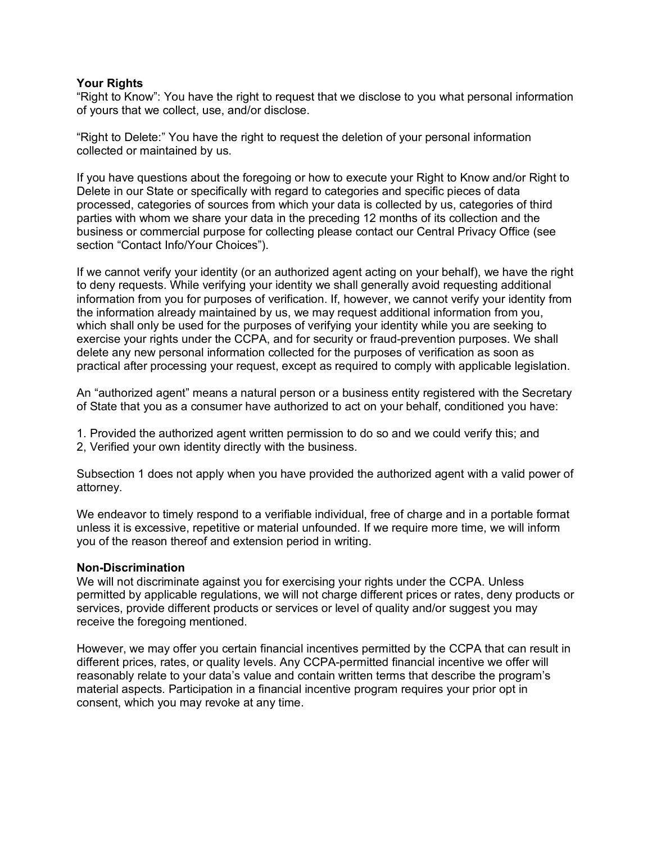#### **Your Rights**

"Right to Know": You have the right to request that we disclose to you what personal information of yours that we collect, use, and/or disclose.

"Right to Delete:" You have the right to request the deletion of your personal information collected or maintained by us.

If you have questions about the foregoing or how to execute your Right to Know and/or Right to Delete in our State or specifically with regard to categories and specific pieces of data processed, categories of sources from which your data is collected by us, categories of third parties with whom we share your data in the preceding 12 months of its collection and the business or commercial purpose for collecting please contact our Central Privacy Office (see section "Contact Info/Your Choices").

If we cannot verify your identity (or an authorized agent acting on your behalf), we have the right to deny requests. While verifying your identity we shall generally avoid requesting additional information from you for purposes of verification. If, however, we cannot verify your identity from the information already maintained by us, we may request additional information from you, which shall only be used for the purposes of verifying your identity while you are seeking to exercise your rights under the CCPA, and for security or fraud-prevention purposes. We shall delete any new personal information collected for the purposes of verification as soon as practical after processing your request, except as required to comply with applicable legislation.

An "authorized agent" means a natural person or a business entity registered with the Secretary of State that you as a consumer have authorized to act on your behalf, conditioned you have:

- 1. Provided the authorized agent written permission to do so and we could verify this; and
- 2, Verified your own identity directly with the business.

Subsection 1 does not apply when you have provided the authorized agent with a valid power of attorney.

We endeavor to timely respond to a verifiable individual, free of charge and in a portable format unless it is excessive, repetitive or material unfounded. If we require more time, we will inform you of the reason thereof and extension period in writing.

#### **Non-Discrimination**

We will not discriminate against you for exercising your rights under the CCPA. Unless permitted by applicable regulations, we will not charge different prices or rates, deny products or services, provide different products or services or level of quality and/or suggest you may receive the foregoing mentioned.

However, we may offer you certain financial incentives permitted by the CCPA that can result in different prices, rates, or quality levels. Any CCPA-permitted financial incentive we offer will reasonably relate to your data's value and contain written terms that describe the program's material aspects. Participation in a financial incentive program requires your prior opt in consent, which you may revoke at any time.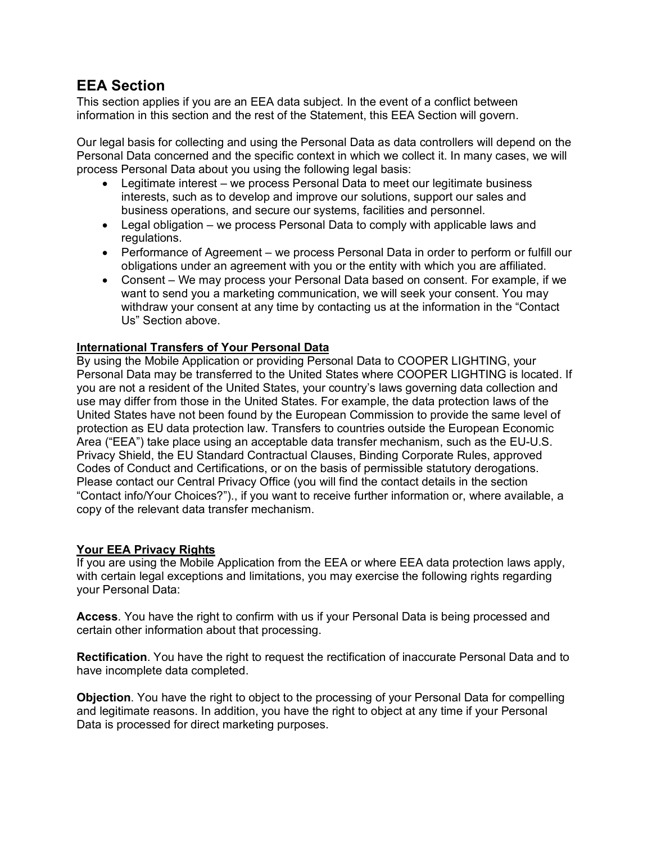# <span id="page-9-0"></span>**EEA Section**

This section applies if you are an EEA data subject. In the event of a conflict between information in this section and the rest of the Statement, this EEA Section will govern.

Our legal basis for collecting and using the Personal Data as data controllers will depend on the Personal Data concerned and the specific context in which we collect it. In many cases, we will process Personal Data about you using the following legal basis:

- Legitimate interest we process Personal Data to meet our legitimate business interests, such as to develop and improve our solutions, support our sales and business operations, and secure our systems, facilities and personnel.
- Legal obligation we process Personal Data to comply with applicable laws and regulations.
- Performance of Agreement we process Personal Data in order to perform or fulfill our obligations under an agreement with you or the entity with which you are affiliated.
- Consent We may process your Personal Data based on consent. For example, if we want to send you a marketing communication, we will seek your consent. You may withdraw your consent at any time by contacting us at the information in the "Contact Us" Section above.

# **International Transfers of Your Personal Data**

By using the Mobile Application or providing Personal Data to COOPER LIGHTING, your Personal Data may be transferred to the United States where COOPER LIGHTING is located. If you are not a resident of the United States, your country's laws governing data collection and use may differ from those in the United States. For example, the data protection laws of the United States have not been found by the European Commission to provide the same level of protection as EU data protection law. Transfers to countries outside the European Economic Area ("EEA") take place using an acceptable data transfer mechanism, such as the EU-U.S. Privacy Shield, the EU Standard Contractual Clauses, Binding Corporate Rules, approved Codes of Conduct and Certifications, or on the basis of permissible statutory derogations. Please contact our Central Privacy Office (you will find the contact details in the section "Contact info/Your Choices?")., if you want to receive further information or, where available, a copy of the relevant data transfer mechanism.

## **Your EEA Privacy Rights**

If you are using the Mobile Application from the EEA or where EEA data protection laws apply, with certain legal exceptions and limitations, you may exercise the following rights regarding your Personal Data:

**Access**. You have the right to confirm with us if your Personal Data is being processed and certain other information about that processing.

**Rectification**. You have the right to request the rectification of inaccurate Personal Data and to have incomplete data completed.

**Objection**. You have the right to object to the processing of your Personal Data for compelling and legitimate reasons. In addition, you have the right to object at any time if your Personal Data is processed for direct marketing purposes.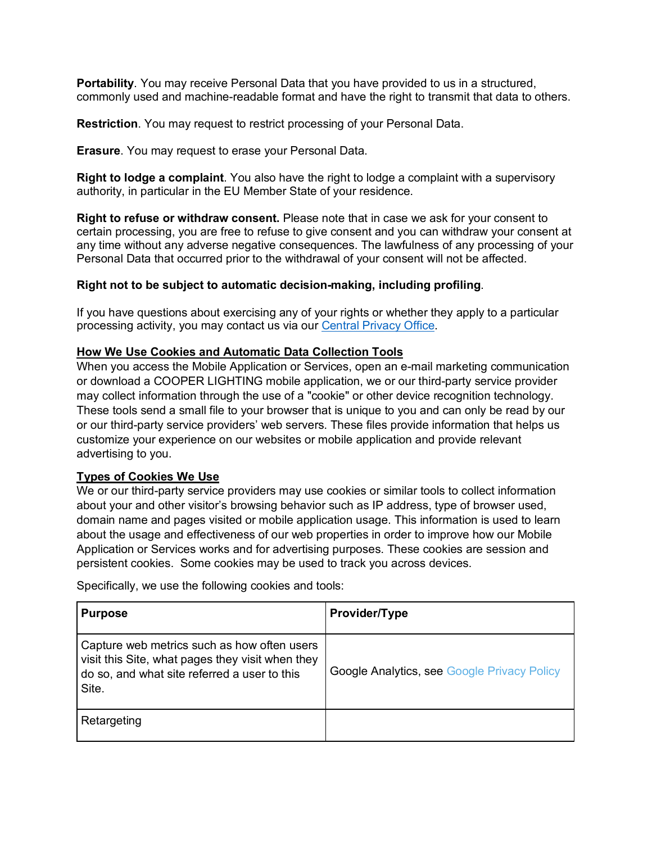**Portability**. You may receive Personal Data that you have provided to us in a structured, commonly used and machine-readable format and have the right to transmit that data to others.

**Restriction**. You may request to restrict processing of your Personal Data.

**Erasure**. You may request to erase your Personal Data.

**Right to lodge a complaint**. You also have the right to lodge a complaint with a supervisory authority, in particular in the EU Member State of your residence.

**Right to refuse or withdraw consent.** Please note that in case we ask for your consent to certain processing, you are free to refuse to give consent and you can withdraw your consent at any time without any adverse negative consequences. The lawfulness of any processing of your Personal Data that occurred prior to the withdrawal of your consent will not be affected.

## **Right not to be subject to automatic decision-making, including profiling**.

If you have questions about exercising any of your rights or whether they apply to a particular processing activity, you may contact us via our [Central Privacy Office.](#page-5-1)

## <span id="page-10-0"></span>**How We Use Cookies and Automatic Data Collection Tools**

When you access the Mobile Application or Services, open an e-mail marketing communication or download a COOPER LIGHTING mobile application, we or our third-party service provider may collect information through the use of a "cookie" or other device recognition technology. These tools send a small file to your browser that is unique to you and can only be read by our or our third-party service providers' web servers. These files provide information that helps us customize your experience on our websites or mobile application and provide relevant advertising to you.

## **Types of Cookies We Use**

We or our third-party service providers may use cookies or similar tools to collect information about your and other visitor's browsing behavior such as IP address, type of browser used, domain name and pages visited or mobile application usage. This information is used to learn about the usage and effectiveness of our web properties in order to improve how our Mobile Application or Services works and for advertising purposes. These cookies are session and persistent cookies. Some cookies may be used to track you across devices.

Specifically, we use the following cookies and tools:

| <b>Purpose</b>                                                                                                                                           | Provider/Type                                      |
|----------------------------------------------------------------------------------------------------------------------------------------------------------|----------------------------------------------------|
| Capture web metrics such as how often users<br>visit this Site, what pages they visit when they<br>do so, and what site referred a user to this<br>Site. | <b>Google Analytics, see Google Privacy Policy</b> |
| Retargeting                                                                                                                                              |                                                    |